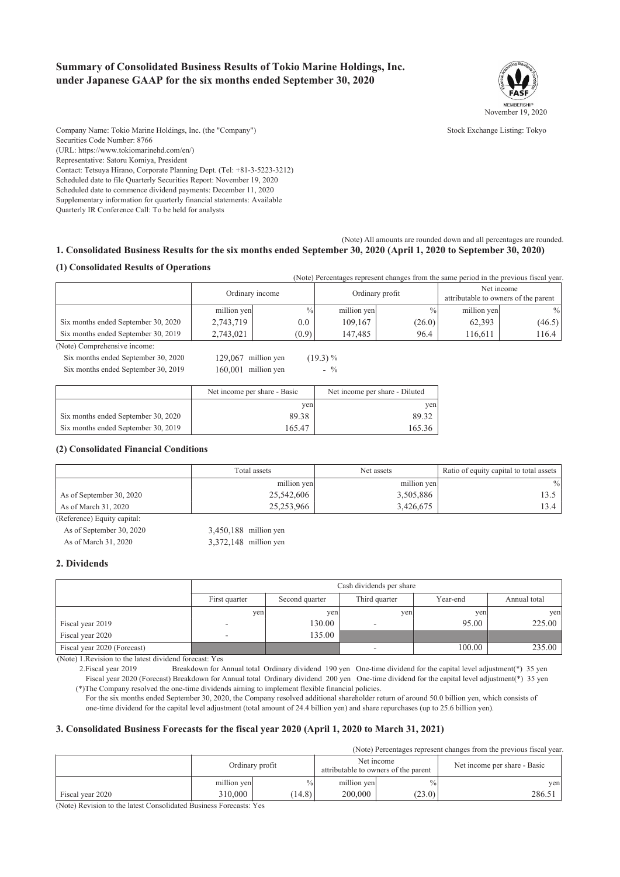### **Summary of Consolidated Business Results of Tokio Marine Holdings, Inc. under Japanese GAAP for the six months ended September 30, 2020**



Company Name: Tokio Marine Holdings, Inc. (the "Company") Stock Exchange Listing: Tokyo Securities Code Number: 8766 (URL: https://www.tokiomarinehd.com/en/) Representative: Satoru Komiya, President Contact: Tetsuya Hirano, Corporate Planning Dept. (Tel: +81-3-5223-3212) Scheduled date to file Quarterly Securities Report: November 19, 2020 Scheduled date to commence dividend payments: December 11, 2020 Supplementary information for quarterly financial statements: Available Quarterly IR Conference Call: To be held for analysts

(Note) All amounts are rounded down and all percentages are rounded. **1. Consolidated Business Results for the six months ended September 30, 2020 (April 1, 2020 to September 30, 2020)**

### **(1) Consolidated Results of Operations**

| (Note) Percentages represent changes from the same period in the previous fiscal year. |                 |               |                 |               |                                                    |               |
|----------------------------------------------------------------------------------------|-----------------|---------------|-----------------|---------------|----------------------------------------------------|---------------|
|                                                                                        | Ordinary income |               | Ordinary profit |               | Net income<br>attributable to owners of the parent |               |
|                                                                                        | million yen     | $\frac{0}{0}$ | million yen     | $\frac{0}{0}$ | million yen                                        | $\frac{0}{0}$ |
| Six months ended September 30, 2020                                                    | 2,743,719       | $0.0\,$       | 109.167         | (26.0)        | 62,393                                             | (46.5)        |
| Six months ended September 30, 2019                                                    | 2,743,021       | (0.9)         | 147.485         | 96.4          | 116.611                                            | 116.4         |

(Note) Comprehensive income:

Six months ended September 30, 2020 129,067 m Six months ended September 30, 2019  $160,001$  n

| nillion yen | (19.3) % |
|-------------|----------|
| nillion yen | $-$ %    |

|                                     | Net income per share - Basic | Net income per share - Diluted |
|-------------------------------------|------------------------------|--------------------------------|
|                                     | ven                          | ven                            |
| Six months ended September 30, 2020 | 89.38                        | 89.32                          |
| Six months ended September 30, 2019 | 165.47                       | 165.36                         |

#### **(2) Consolidated Financial Conditions**

|                          | Total assets | Net assets  | Ratio of equity capital to total assets |
|--------------------------|--------------|-------------|-----------------------------------------|
|                          | million yen  | million yen | $\frac{0}{0}$                           |
| As of September 30, 2020 | 25,542,606   | 3,505,886   |                                         |
| As of March 31, 2020     | 25,253,966   | 3,426,675   | 3.4                                     |

(Reference) Equity capital:

As of September 30, 2020 3,450,188 million yen As of March 31, 2020 3,372,148 million yen

### **2. Dividends**

|                             |                          | Cash dividends per share |               |          |              |  |
|-----------------------------|--------------------------|--------------------------|---------------|----------|--------------|--|
|                             | First quarter            | Second quarter           | Third quarter | Year-end | Annual total |  |
|                             | yen                      | yen                      | yen           | yen      | yen          |  |
| Fiscal year 2019            | $\overline{\phantom{0}}$ | 130.00                   |               | 95.00    | 225.00       |  |
| Fiscal year 2020            | -                        | 135.00                   |               |          |              |  |
| Fiscal year 2020 (Forecast) |                          |                          | -             | 100.00   | 235.00       |  |

(Note) 1.Revision to the latest dividend forecast: Yes

 2.Fiscal year 2019 Breakdown for Annual total Ordinary dividend 190 yen One-time dividend for the capital level adjustment(\*) 35 yen Fiscal year 2020 (Forecast) Breakdown for Annual total Ordinary dividend 200 yen One-time dividend for the capital level adjustment(\*) 35 yen (\*)The Company resolved the one-time dividends aiming to implement flexible financial policies.

 For the six months ended September 30, 2020, the Company resolved additional shareholder return of around 50.0 billion yen, which consists of one-time dividend for the capital level adjustment (total amount of 24.4 billion yen) and share repurchases (up to 25.6 billion yen).

### **3. Consolidated Business Forecasts for the fiscal year 2020 (April 1, 2020 to March 31, 2021)**

(Note) Percentages represent changes from the previous fiscal year.

|                  |             | Ordinary profit |             | Net income<br>attributable to owners of the parent | Net income per share - Basic |
|------------------|-------------|-----------------|-------------|----------------------------------------------------|------------------------------|
|                  | million yen | $\frac{0}{0}$   | million yen | $\%$                                               | yen                          |
| Fiscal year 2020 | 310,000     | (14.8)          | 200,000     | (23.0)                                             | 286.51                       |

(Note) Revision to the latest Consolidated Business Forecasts: Yes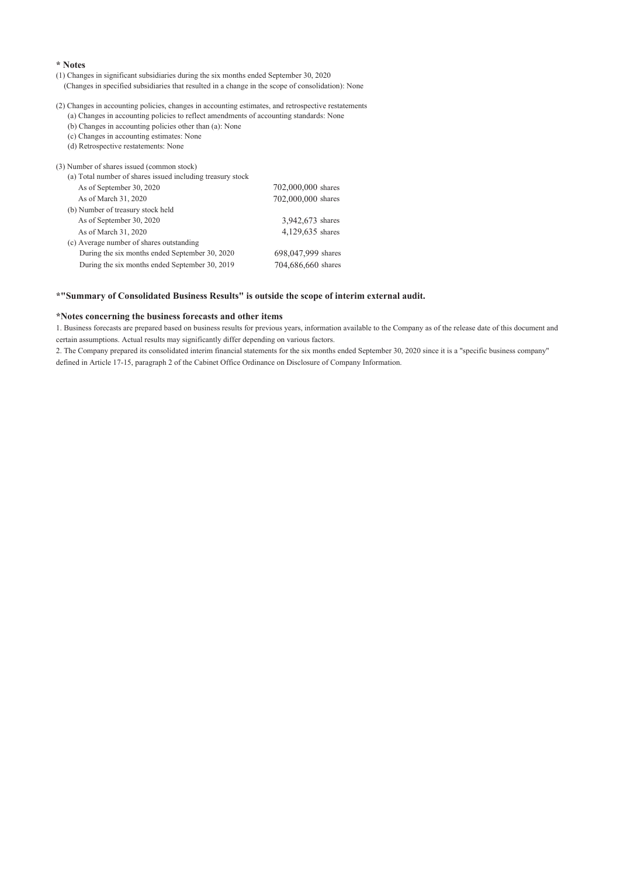#### **\* Notes**

- (1) Changes in significant subsidiaries during the six months ended September 30, 2020
- (Changes in specified subsidiaries that resulted in a change in the scope of consolidation): None
- (2) Changes in accounting policies, changes in accounting estimates, and retrospective restatements
- (a) Changes in accounting policies to reflect amendments of accounting standards: None
- (b) Changes in accounting policies other than (a): None
- (c) Changes in accounting estimates: None (d) Retrospective restatements: None

| (3) Number of shares issued (common stock)<br>(a) Total number of shares issued including treasury stock |                    |
|----------------------------------------------------------------------------------------------------------|--------------------|
| As of September 30, 2020                                                                                 | 702,000,000 shares |
| As of March 31, 2020                                                                                     | 702,000,000 shares |
| (b) Number of treasury stock held                                                                        |                    |
| As of September 30, 2020                                                                                 | 3,942,673 shares   |
| As of March 31, 2020                                                                                     | 4,129,635 shares   |
| (c) Average number of shares outstanding                                                                 |                    |
| During the six months ended September 30, 2020                                                           | 698,047,999 shares |
| During the six months ended September 30, 2019                                                           | 704,686,660 shares |

#### **\*"Summary of Consolidated Business Results" is outside the scope of interim external audit.**

#### **\*Notes concerning the business forecasts and other items**

1. Business forecasts are prepared based on business results for previous years, information available to the Company as of the release date of this document and certain assumptions. Actual results may significantly differ depending on various factors.

2. The Company prepared its consolidated interim financial statements for the six months ended September 30, 2020 since it is a "specific business company" defined in Article 17-15, paragraph 2 of the Cabinet Office Ordinance on Disclosure of Company Information.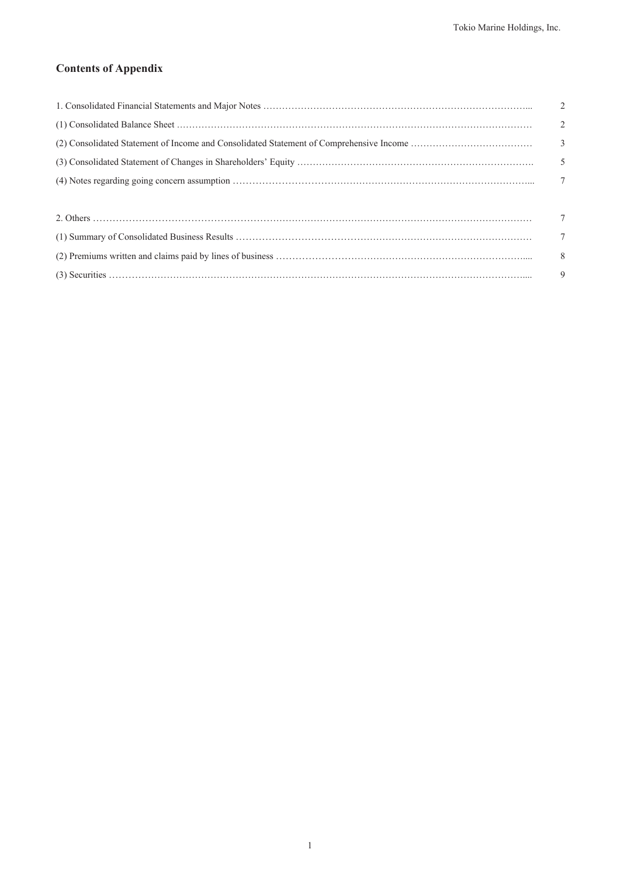### **Contents of Appendix**

| $\overline{2}$ |
|----------------|
| $\overline{2}$ |
|                |
|                |
| $\overline{7}$ |
|                |
| $\overline{7}$ |
| $\overline{7}$ |
| 8 <sup>8</sup> |
| 9              |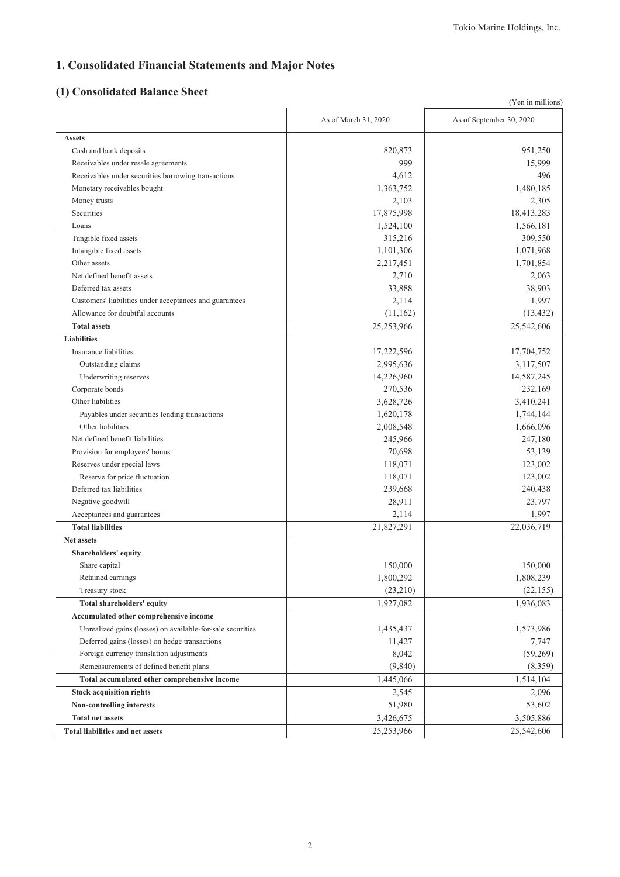# **1. Consolidated Financial Statements and Major Notes**

# **(1) Consolidated Balance Sheet**

|                                                            |                      | (Yen in millions)        |
|------------------------------------------------------------|----------------------|--------------------------|
|                                                            | As of March 31, 2020 | As of September 30, 2020 |
| <b>Assets</b>                                              |                      |                          |
| Cash and bank deposits                                     | 820,873              | 951,250                  |
| Receivables under resale agreements                        | 999                  | 15,999                   |
| Receivables under securities borrowing transactions        | 4,612                | 496                      |
| Monetary receivables bought                                | 1,363,752            | 1,480,185                |
| Money trusts                                               | 2,103                | 2,305                    |
| Securities                                                 | 17,875,998           | 18,413,283               |
| Loans                                                      | 1,524,100            | 1,566,181                |
| Tangible fixed assets                                      | 315,216              | 309,550                  |
| Intangible fixed assets                                    | 1,101,306            | 1,071,968                |
| Other assets                                               | 2,217,451            | 1,701,854                |
| Net defined benefit assets                                 | 2,710                | 2,063                    |
| Deferred tax assets                                        | 33,888               | 38,903                   |
| Customers' liabilities under acceptances and guarantees    | 2,114                | 1,997                    |
| Allowance for doubtful accounts                            | (11, 162)            | (13, 432)                |
| <b>Total assets</b>                                        | 25,253,966           | 25,542,606               |
| <b>Liabilities</b>                                         |                      |                          |
| Insurance liabilities                                      | 17,222,596           | 17,704,752               |
| Outstanding claims                                         | 2,995,636            | 3,117,507                |
| Underwriting reserves                                      | 14,226,960           | 14,587,245               |
| Corporate bonds                                            | 270,536              | 232,169                  |
| Other liabilities                                          | 3,628,726            | 3,410,241                |
| Payables under securities lending transactions             | 1,620,178            | 1,744,144                |
| Other liabilities                                          | 2,008,548            | 1,666,096                |
| Net defined benefit liabilities                            | 245,966              | 247,180                  |
| Provision for employees' bonus                             | 70,698               | 53,139                   |
| Reserves under special laws                                | 118,071              | 123,002                  |
| Reserve for price fluctuation                              | 118,071              | 123,002                  |
| Deferred tax liabilities                                   | 239,668              | 240,438                  |
| Negative goodwill                                          | 28,911               | 23,797                   |
| Acceptances and guarantees                                 | 2,114                | 1,997                    |
| <b>Total liabilities</b>                                   | 21,827,291           | 22,036,719               |
| <b>Net assets</b>                                          |                      |                          |
| Shareholders' equity                                       |                      |                          |
| Share capital                                              | 150,000              | 150,000                  |
| Retained earnings                                          | 1,800,292            | 1,808,239                |
| Treasury stock                                             | (23,210)             | (22, 155)                |
| Total shareholders' equity                                 | 1,927,082            | 1,936,083                |
| Accumulated other comprehensive income                     |                      |                          |
| Unrealized gains (losses) on available-for-sale securities | 1,435,437            | 1,573,986                |
| Deferred gains (losses) on hedge transactions              | 11,427               | 7,747                    |
| Foreign currency translation adjustments                   | 8,042                | (59,269)                 |
| Remeasurements of defined benefit plans                    | (9,840)              | (8,359)                  |
| Total accumulated other comprehensive income               | 1,445,066            | 1,514,104                |
| <b>Stock acquisition rights</b>                            | 2,545                | 2,096                    |
| Non-controlling interests                                  | 51,980               | 53,602                   |
| <b>Total net assets</b>                                    | 3,426,675            | 3,505,886                |
| <b>Total liabilities and net assets</b>                    | 25,253,966           | 25,542,606               |
|                                                            |                      |                          |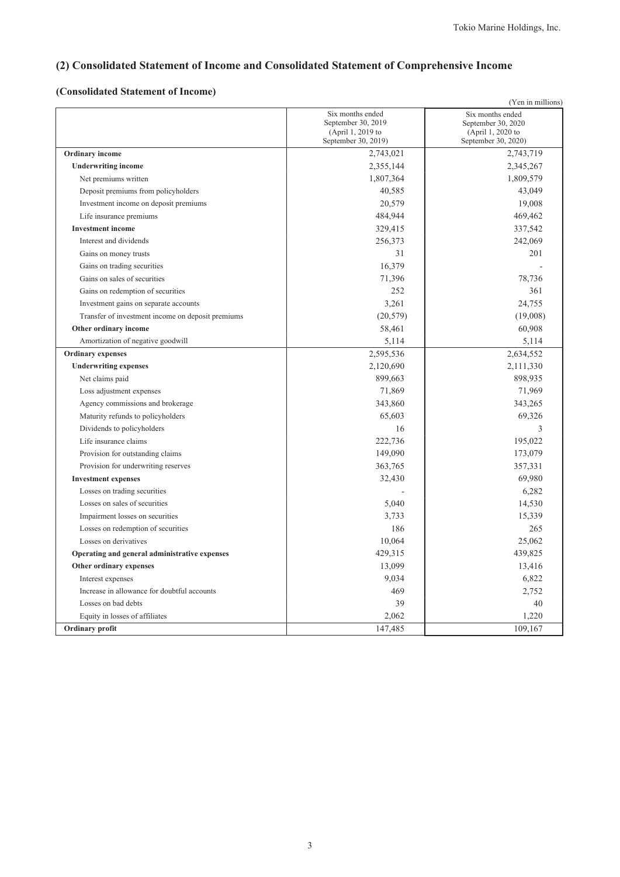# **(2) Consolidated Statement of Income and Consolidated Statement of Comprehensive Income**

### **(Consolidated Statement of Income)**

|                                                   |                                                                                    | (Yen in millions)                                                                  |
|---------------------------------------------------|------------------------------------------------------------------------------------|------------------------------------------------------------------------------------|
|                                                   | Six months ended<br>September 30, 2019<br>(April 1, 2019 to<br>September 30, 2019) | Six months ended<br>September 30, 2020<br>(April 1, 2020 to<br>September 30, 2020) |
| Ordinary income                                   | 2,743,021                                                                          | 2,743,719                                                                          |
| <b>Underwriting income</b>                        | 2,355,144                                                                          | 2,345,267                                                                          |
| Net premiums written                              | 1,807,364                                                                          | 1,809,579                                                                          |
| Deposit premiums from policyholders               | 40,585                                                                             | 43,049                                                                             |
| Investment income on deposit premiums             | 20,579                                                                             | 19,008                                                                             |
| Life insurance premiums                           | 484,944                                                                            | 469,462                                                                            |
| <b>Investment</b> income                          | 329,415                                                                            | 337,542                                                                            |
| Interest and dividends                            | 256,373                                                                            | 242,069                                                                            |
| Gains on money trusts                             | 31                                                                                 | 201                                                                                |
| Gains on trading securities                       | 16,379                                                                             |                                                                                    |
| Gains on sales of securities                      | 71,396                                                                             | 78,736                                                                             |
| Gains on redemption of securities                 | 252                                                                                | 361                                                                                |
| Investment gains on separate accounts             | 3,261                                                                              | 24,755                                                                             |
| Transfer of investment income on deposit premiums | (20, 579)                                                                          | (19,008)                                                                           |
| Other ordinary income                             | 58,461                                                                             | 60,908                                                                             |
| Amortization of negative goodwill                 | 5,114                                                                              | 5,114                                                                              |
| <b>Ordinary expenses</b>                          | 2,595,536                                                                          | 2,634,552                                                                          |
| <b>Underwriting expenses</b>                      | 2,120,690                                                                          | 2,111,330                                                                          |
| Net claims paid                                   | 899,663                                                                            | 898,935                                                                            |
| Loss adjustment expenses                          | 71,869                                                                             | 71,969                                                                             |
| Agency commissions and brokerage                  | 343,860                                                                            | 343,265                                                                            |
| Maturity refunds to policyholders                 | 65,603                                                                             | 69,326                                                                             |
| Dividends to policyholders                        | 16                                                                                 | 3                                                                                  |
| Life insurance claims                             | 222,736                                                                            | 195,022                                                                            |
| Provision for outstanding claims                  | 149,090                                                                            | 173,079                                                                            |
| Provision for underwriting reserves               | 363,765                                                                            | 357,331                                                                            |
| <b>Investment expenses</b>                        | 32,430                                                                             | 69,980                                                                             |
| Losses on trading securities                      |                                                                                    | 6,282                                                                              |
| Losses on sales of securities                     | 5,040                                                                              | 14,530                                                                             |
| Impairment losses on securities                   | 3,733                                                                              | 15,339                                                                             |
| Losses on redemption of securities                | 186                                                                                | 265                                                                                |
| Losses on derivatives                             | 10,064                                                                             | 25,062                                                                             |
| Operating and general administrative expenses     | 429,315                                                                            | 439,825                                                                            |
| Other ordinary expenses                           | 13,099                                                                             | 13,416                                                                             |
| Interest expenses                                 | 9,034                                                                              | 6,822                                                                              |
| Increase in allowance for doubtful accounts       | 469                                                                                | 2,752                                                                              |
| Losses on bad debts                               | 39                                                                                 | 40                                                                                 |
| Equity in losses of affiliates                    | 2,062                                                                              | 1,220                                                                              |
| Ordinary profit                                   | 147,485                                                                            | 109,167                                                                            |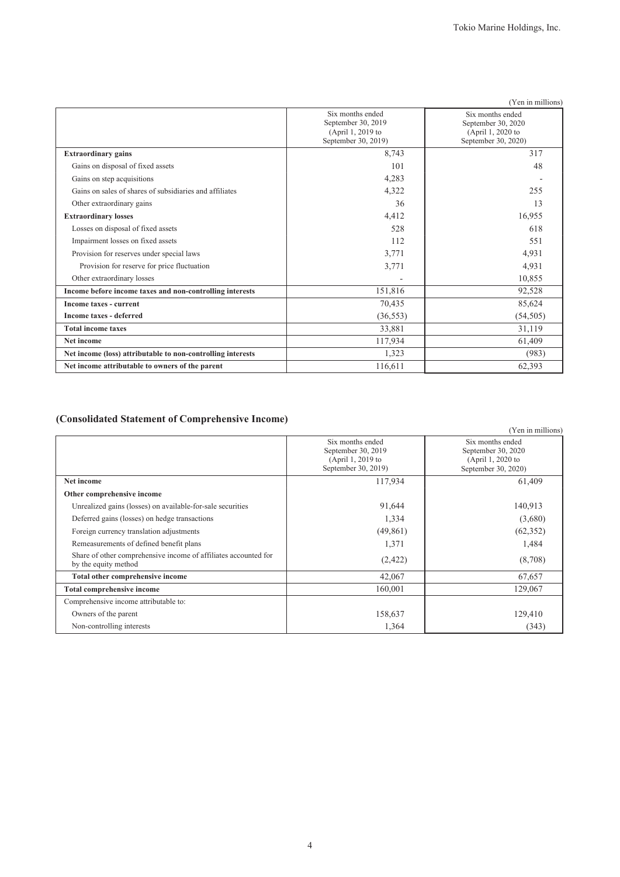|                                                             |                                                                                    | (Yen in millions)                                                                  |
|-------------------------------------------------------------|------------------------------------------------------------------------------------|------------------------------------------------------------------------------------|
|                                                             | Six months ended<br>September 30, 2019<br>(April 1, 2019 to<br>September 30, 2019) | Six months ended<br>September 30, 2020<br>(April 1, 2020 to<br>September 30, 2020) |
| <b>Extraordinary gains</b>                                  | 8,743                                                                              | 317                                                                                |
| Gains on disposal of fixed assets                           | 101                                                                                | 48                                                                                 |
| Gains on step acquisitions                                  | 4,283                                                                              |                                                                                    |
| Gains on sales of shares of subsidiaries and affiliates     | 4,322                                                                              | 255                                                                                |
| Other extraordinary gains                                   | 36                                                                                 | 13                                                                                 |
| <b>Extraordinary losses</b>                                 | 4,412                                                                              | 16,955                                                                             |
| Losses on disposal of fixed assets                          | 528                                                                                | 618                                                                                |
| Impairment losses on fixed assets                           | 112                                                                                | 551                                                                                |
| Provision for reserves under special laws                   | 3,771                                                                              | 4,931                                                                              |
| Provision for reserve for price fluctuation                 | 3,771                                                                              | 4,931                                                                              |
| Other extraordinary losses                                  |                                                                                    | 10,855                                                                             |
| Income before income taxes and non-controlling interests    | 151,816                                                                            | 92,528                                                                             |
| Income taxes - current                                      | 70,435                                                                             | 85,624                                                                             |
| <b>Income taxes - deferred</b>                              | (36, 553)                                                                          | (54, 505)                                                                          |
| <b>Total income taxes</b>                                   | 33,881                                                                             | 31,119                                                                             |
| Net income                                                  | 117,934                                                                            | 61,409                                                                             |
| Net income (loss) attributable to non-controlling interests | 1,323                                                                              | (983)                                                                              |
| Net income attributable to owners of the parent             | 116,611                                                                            | 62,393                                                                             |

### **(Consolidated Statement of Comprehensive Income)**

| requisitionally platement of complements income                                         |                                                                                    |                                                                                    |
|-----------------------------------------------------------------------------------------|------------------------------------------------------------------------------------|------------------------------------------------------------------------------------|
|                                                                                         |                                                                                    | (Yen in millions)                                                                  |
|                                                                                         | Six months ended<br>September 30, 2019<br>(April 1, 2019 to<br>September 30, 2019) | Six months ended<br>September 30, 2020<br>(April 1, 2020 to<br>September 30, 2020) |
| Net income                                                                              | 117,934                                                                            | 61,409                                                                             |
| Other comprehensive income                                                              |                                                                                    |                                                                                    |
| Unrealized gains (losses) on available-for-sale securities                              | 91,644                                                                             | 140,913                                                                            |
| Deferred gains (losses) on hedge transactions                                           | 1,334                                                                              | (3,680)                                                                            |
| Foreign currency translation adjustments                                                | (49, 861)                                                                          | (62, 352)                                                                          |
| Remeasurements of defined benefit plans                                                 | 1,371                                                                              | 1,484                                                                              |
| Share of other comprehensive income of affiliates accounted for<br>by the equity method | (2,422)                                                                            | (8,708)                                                                            |
| Total other comprehensive income                                                        | 42,067                                                                             | 67,657                                                                             |
| <b>Total comprehensive income</b>                                                       | 160,001                                                                            | 129,067                                                                            |
| Comprehensive income attributable to:                                                   |                                                                                    |                                                                                    |
| Owners of the parent                                                                    | 158,637                                                                            | 129,410                                                                            |
| Non-controlling interests                                                               | 1,364                                                                              | (343)                                                                              |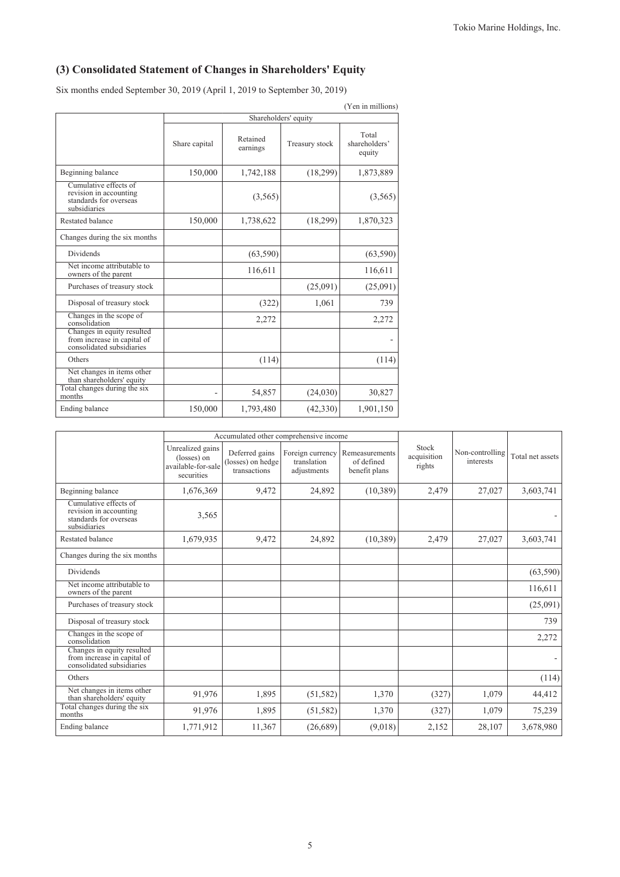# **(3) Consolidated Statement of Changes in Shareholders' Equity**

Six months ended September 30, 2019 (April 1, 2019 to September 30, 2019)

| (Yen in millions)                                                                         |               |                      |                |                                  |  |  |  |
|-------------------------------------------------------------------------------------------|---------------|----------------------|----------------|----------------------------------|--|--|--|
|                                                                                           |               | Shareholders' equity |                |                                  |  |  |  |
|                                                                                           | Share capital | Retained<br>earnings | Treasury stock | Total<br>shareholders'<br>equity |  |  |  |
| Beginning balance                                                                         | 150,000       | 1,742,188            | (18,299)       | 1,873,889                        |  |  |  |
| Cumulative effects of<br>revision in accounting<br>standards for overseas<br>subsidiaries |               | (3,565)              |                | (3,565)                          |  |  |  |
| <b>Restated balance</b>                                                                   | 150,000       | 1,738,622            | (18,299)       | 1,870,323                        |  |  |  |
| Changes during the six months                                                             |               |                      |                |                                  |  |  |  |
| Dividends                                                                                 |               | (63, 590)            |                | (63, 590)                        |  |  |  |
| Net income attributable to<br>owners of the parent                                        |               | 116,611              |                | 116,611                          |  |  |  |
| Purchases of treasury stock                                                               |               |                      | (25,091)       | (25,091)                         |  |  |  |
| Disposal of treasury stock                                                                |               | (322)                | 1,061          | 739                              |  |  |  |
| Changes in the scope of<br>consolidation                                                  |               | 2,272                |                | 2,272                            |  |  |  |
| Changes in equity resulted<br>from increase in capital of<br>consolidated subsidiaries    |               |                      |                |                                  |  |  |  |
| Others                                                                                    |               | (114)                |                | (114)                            |  |  |  |
| Net changes in items other<br>than shareholders' equity                                   |               |                      |                |                                  |  |  |  |
| Total changes during the six<br>months                                                    |               | 54,857               | (24,030)       | 30,827                           |  |  |  |
| Ending balance                                                                            | 150,000       | 1,793,480            | (42, 330)      | 1,901,150                        |  |  |  |

|                                                                                           |                                                                     | Accumulated other comprehensive income              |                                                |                                               |                                |                              |                  |
|-------------------------------------------------------------------------------------------|---------------------------------------------------------------------|-----------------------------------------------------|------------------------------------------------|-----------------------------------------------|--------------------------------|------------------------------|------------------|
|                                                                                           | Unrealized gains<br>(losses) on<br>available-for-sale<br>securities | Deferred gains<br>(losses) on hedge<br>transactions | Foreign currency<br>translation<br>adjustments | Remeasurements<br>of defined<br>benefit plans | Stock<br>acquisition<br>rights | Non-controlling<br>interests | Total net assets |
| Beginning balance                                                                         | 1,676,369                                                           | 9,472                                               | 24,892                                         | (10, 389)                                     | 2,479                          | 27,027                       | 3,603,741        |
| Cumulative effects of<br>revision in accounting<br>standards for overseas<br>subsidiaries | 3,565                                                               |                                                     |                                                |                                               |                                |                              |                  |
| Restated balance                                                                          | 1,679,935                                                           | 9,472                                               | 24,892                                         | (10, 389)                                     | 2,479                          | 27,027                       | 3,603,741        |
| Changes during the six months                                                             |                                                                     |                                                     |                                                |                                               |                                |                              |                  |
| <b>Dividends</b>                                                                          |                                                                     |                                                     |                                                |                                               |                                |                              | (63, 590)        |
| Net income attributable to<br>owners of the parent                                        |                                                                     |                                                     |                                                |                                               |                                |                              | 116,611          |
| Purchases of treasury stock                                                               |                                                                     |                                                     |                                                |                                               |                                |                              | (25,091)         |
| Disposal of treasury stock                                                                |                                                                     |                                                     |                                                |                                               |                                |                              | 739              |
| Changes in the scope of<br>consolidation                                                  |                                                                     |                                                     |                                                |                                               |                                |                              | 2,272            |
| Changes in equity resulted<br>from increase in capital of<br>consolidated subsidiaries    |                                                                     |                                                     |                                                |                                               |                                |                              |                  |
| Others                                                                                    |                                                                     |                                                     |                                                |                                               |                                |                              | (114)            |
| Net changes in items other<br>than shareholders' equity                                   | 91,976                                                              | 1,895                                               | (51, 582)                                      | 1,370                                         | (327)                          | 1,079                        | 44,412           |
| Total changes during the six<br>months                                                    | 91,976                                                              | 1,895                                               | (51, 582)                                      | 1,370                                         | (327)                          | 1,079                        | 75,239           |
| Ending balance                                                                            | 1,771,912                                                           | 11,367                                              | (26,689)                                       | (9,018)                                       | 2,152                          | 28,107                       | 3,678,980        |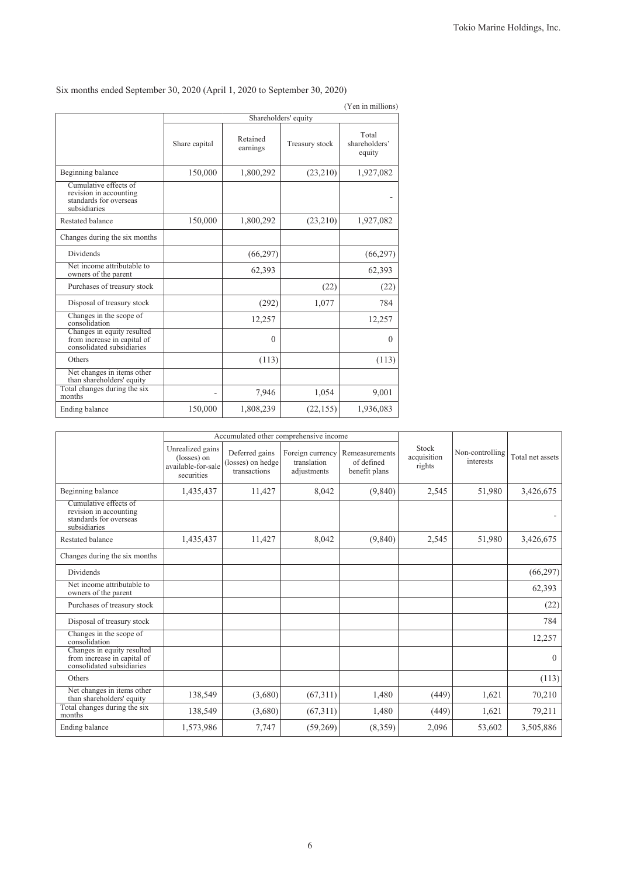|                                                                                           |               |                      |                | (Yen in millions)                |
|-------------------------------------------------------------------------------------------|---------------|----------------------|----------------|----------------------------------|
|                                                                                           |               | Shareholders' equity |                |                                  |
|                                                                                           | Share capital | Retained<br>earnings | Treasury stock | Total<br>shareholders'<br>equity |
| Beginning balance                                                                         | 150,000       | 1,800,292            | (23,210)       | 1,927,082                        |
| Cumulative effects of<br>revision in accounting<br>standards for overseas<br>subsidiaries |               |                      |                |                                  |
| Restated balance                                                                          | 150,000       | 1,800,292            | (23,210)       | 1,927,082                        |
| Changes during the six months                                                             |               |                      |                |                                  |
| <b>Dividends</b>                                                                          |               | (66, 297)            |                | (66, 297)                        |
| Net income attributable to<br>owners of the parent                                        |               | 62,393               |                | 62,393                           |
| Purchases of treasury stock                                                               |               |                      | (22)           | (22)                             |
| Disposal of treasury stock                                                                |               | (292)                | 1,077          | 784                              |
| Changes in the scope of<br>consolidation                                                  |               | 12,257               |                | 12,257                           |
| Changes in equity resulted<br>from increase in capital of<br>consolidated subsidiaries    |               | $\theta$             |                | $\theta$                         |
| Others                                                                                    |               | (113)                |                | (113)                            |
| Net changes in items other<br>than shareholders' equity                                   |               |                      |                |                                  |
| Total changes during the six<br>months                                                    |               | 7,946                | 1,054          | 9,001                            |
| Ending balance                                                                            | 150,000       | 1,808,239            | (22, 155)      | 1,936,083                        |

Six months ended September 30, 2020 (April 1, 2020 to September 30, 2020)

|                                                                                           | Accumulated other comprehensive income                              |                                                     |                                                |                                               |                                |                              |                  |
|-------------------------------------------------------------------------------------------|---------------------------------------------------------------------|-----------------------------------------------------|------------------------------------------------|-----------------------------------------------|--------------------------------|------------------------------|------------------|
|                                                                                           | Unrealized gains<br>(losses) on<br>available-for-sale<br>securities | Deferred gains<br>(losses) on hedge<br>transactions | Foreign currency<br>translation<br>adjustments | Remeasurements<br>of defined<br>benefit plans | Stock<br>acquisition<br>rights | Non-controlling<br>interests | Total net assets |
| Beginning balance                                                                         | 1,435,437                                                           | 11,427                                              | 8,042                                          | (9, 840)                                      | 2,545                          | 51,980                       | 3,426,675        |
| Cumulative effects of<br>revision in accounting<br>standards for overseas<br>subsidiaries |                                                                     |                                                     |                                                |                                               |                                |                              |                  |
| <b>Restated balance</b>                                                                   | 1,435,437                                                           | 11,427                                              | 8,042                                          | (9,840)                                       | 2,545                          | 51,980                       | 3,426,675        |
| Changes during the six months                                                             |                                                                     |                                                     |                                                |                                               |                                |                              |                  |
| <b>Dividends</b>                                                                          |                                                                     |                                                     |                                                |                                               |                                |                              | (66, 297)        |
| Net income attributable to<br>owners of the parent                                        |                                                                     |                                                     |                                                |                                               |                                |                              | 62,393           |
| Purchases of treasury stock                                                               |                                                                     |                                                     |                                                |                                               |                                |                              | (22)             |
| Disposal of treasury stock                                                                |                                                                     |                                                     |                                                |                                               |                                |                              | 784              |
| Changes in the scope of<br>consolidation                                                  |                                                                     |                                                     |                                                |                                               |                                |                              | 12,257           |
| Changes in equity resulted<br>from increase in capital of<br>consolidated subsidiaries    |                                                                     |                                                     |                                                |                                               |                                |                              | $\theta$         |
| Others                                                                                    |                                                                     |                                                     |                                                |                                               |                                |                              | (113)            |
| Net changes in items other<br>than shareholders' equity                                   | 138,549                                                             | (3,680)                                             | (67,311)                                       | 1,480                                         | (449)                          | 1,621                        | 70,210           |
| Total changes during the six<br>months                                                    | 138,549                                                             | (3,680)                                             | (67,311)                                       | 1,480                                         | (449)                          | 1,621                        | 79,211           |
| Ending balance                                                                            | 1,573,986                                                           | 7,747                                               | (59,269)                                       | (8,359)                                       | 2,096                          | 53,602                       | 3,505,886        |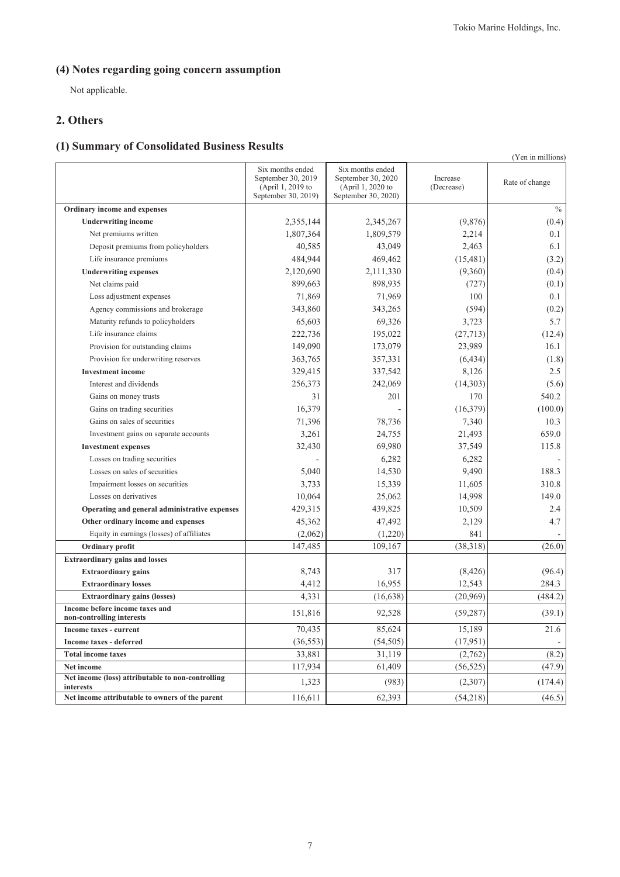# **(4) Notes regarding going concern assumption**

Not applicable.

### **2. Others**

# **(1) Summary of Consolidated Business Results**

|                                                                |                                                                                    |                                                                                    |                        | (Yen in millions) |
|----------------------------------------------------------------|------------------------------------------------------------------------------------|------------------------------------------------------------------------------------|------------------------|-------------------|
|                                                                | Six months ended<br>September 30, 2019<br>(April 1, 2019 to<br>September 30, 2019) | Six months ended<br>September 30, 2020<br>(April 1, 2020 to<br>September 30, 2020) | Increase<br>(Decrease) | Rate of change    |
| Ordinary income and expenses                                   |                                                                                    |                                                                                    |                        | $\%$              |
| <b>Underwriting income</b>                                     | 2,355,144                                                                          | 2,345,267                                                                          | (9,876)                | (0.4)             |
| Net premiums written                                           | 1,807,364                                                                          | 1,809,579                                                                          | 2,214                  | 0.1               |
| Deposit premiums from policyholders                            | 40,585                                                                             | 43,049                                                                             | 2,463                  | 6.1               |
| Life insurance premiums                                        | 484,944                                                                            | 469,462                                                                            | (15, 481)              | (3.2)             |
| <b>Underwriting expenses</b>                                   | 2,120,690                                                                          | 2,111,330                                                                          | (9,360)                | (0.4)             |
| Net claims paid                                                | 899,663                                                                            | 898,935                                                                            | (727)                  | (0.1)             |
| Loss adjustment expenses                                       | 71,869                                                                             | 71,969                                                                             | 100                    | 0.1               |
| Agency commissions and brokerage                               | 343,860                                                                            | 343,265                                                                            | (594)                  | (0.2)             |
| Maturity refunds to policyholders                              | 65,603                                                                             | 69,326                                                                             | 3,723                  | 5.7               |
| Life insurance claims                                          | 222,736                                                                            | 195,022                                                                            | (27, 713)              | (12.4)            |
| Provision for outstanding claims                               | 149,090                                                                            | 173,079                                                                            | 23,989                 | 16.1              |
| Provision for underwriting reserves                            | 363,765                                                                            | 357,331                                                                            | (6, 434)               | (1.8)             |
| <b>Investment</b> income                                       | 329,415                                                                            | 337,542                                                                            | 8,126                  | 2.5               |
| Interest and dividends                                         | 256,373                                                                            | 242,069                                                                            | (14,303)               | (5.6)             |
| Gains on money trusts                                          | 31                                                                                 | 201                                                                                | 170                    | 540.2             |
| Gains on trading securities                                    | 16,379                                                                             |                                                                                    | (16, 379)              | (100.0)           |
| Gains on sales of securities                                   | 71,396                                                                             | 78,736                                                                             | 7,340                  | 10.3              |
| Investment gains on separate accounts                          | 3,261                                                                              | 24,755                                                                             | 21,493                 | 659.0             |
| <b>Investment expenses</b>                                     | 32,430                                                                             | 69,980                                                                             | 37,549                 | 115.8             |
| Losses on trading securities                                   |                                                                                    | 6,282                                                                              | 6,282                  |                   |
| Losses on sales of securities                                  | 5,040                                                                              | 14,530                                                                             | 9,490                  | 188.3             |
| Impairment losses on securities                                | 3,733                                                                              | 15,339                                                                             | 11,605                 | 310.8             |
| Losses on derivatives                                          | 10,064                                                                             | 25,062                                                                             | 14,998                 | 149.0             |
| Operating and general administrative expenses                  | 429,315                                                                            | 439,825                                                                            | 10,509                 | 2.4               |
| Other ordinary income and expenses                             | 45,362                                                                             | 47,492                                                                             | 2,129                  | 4.7               |
| Equity in earnings (losses) of affiliates                      | (2,062)                                                                            | (1,220)                                                                            | 841                    |                   |
| Ordinary profit                                                | 147,485                                                                            | 109,167                                                                            | (38,318)               | (26.0)            |
| <b>Extraordinary gains and losses</b>                          |                                                                                    |                                                                                    |                        |                   |
| <b>Extraordinary gains</b>                                     | 8,743                                                                              | 317                                                                                | (8, 426)               | (96.4)            |
| <b>Extraordinary losses</b>                                    | 4,412                                                                              | 16,955                                                                             | 12,543                 | 284.3             |
| <b>Extraordinary gains (losses)</b>                            | 4,331                                                                              | (16, 638)                                                                          | (20,969)               | (484.2)           |
| Income before income taxes and<br>non-controlling interests    | 151,816                                                                            | 92,528                                                                             | (59, 287)              | (39.1)            |
| Income taxes - current                                         | 70,435                                                                             | 85,624                                                                             | 15,189                 | 21.6              |
| <b>Income taxes - deferred</b>                                 | (36, 553)                                                                          | (54, 505)                                                                          | (17, 951)              |                   |
| <b>Total income taxes</b>                                      | 33,881                                                                             | 31,119                                                                             | (2,762)                | (8.2)             |
| Net income                                                     | 117,934                                                                            | 61,409                                                                             | (56, 525)              | (47.9)            |
| Net income (loss) attributable to non-controlling<br>interests | 1,323                                                                              | (983)                                                                              | (2,307)                | (174.4)           |
| Net income attributable to owners of the parent                | 116,611                                                                            | 62,393                                                                             | (54, 218)              | (46.5)            |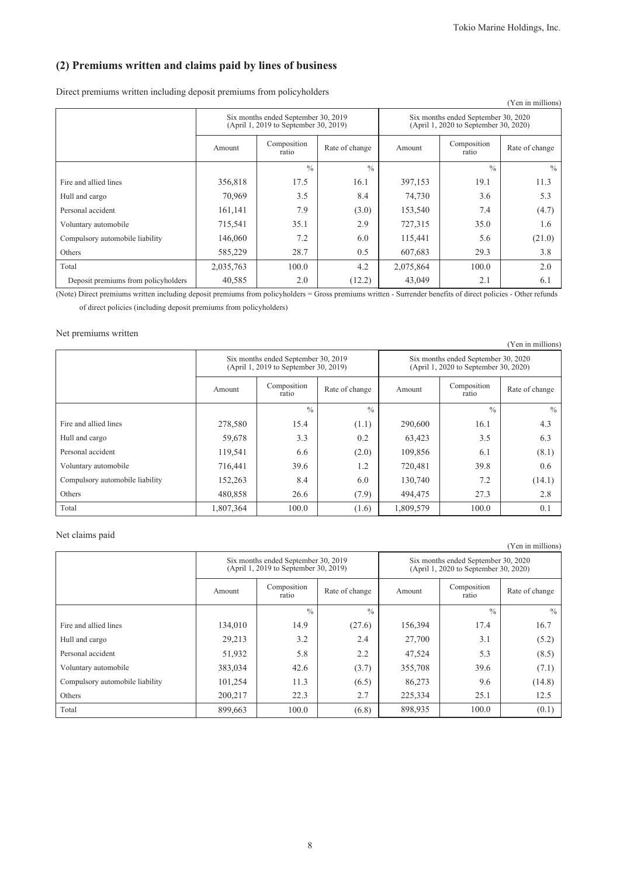### **(2) Premiums written and claims paid by lines of business**

Direct premiums written including deposit premiums from policyholders

|                                     |           |                                                                              |                |                                                                              |                      | (Yen in millions) |  |
|-------------------------------------|-----------|------------------------------------------------------------------------------|----------------|------------------------------------------------------------------------------|----------------------|-------------------|--|
|                                     |           | Six months ended September 30, 2019<br>(April 1, 2019 to September 30, 2019) |                | Six months ended September 30, 2020<br>(April 1, 2020 to September 30, 2020) |                      |                   |  |
|                                     | Amount    | Composition<br>ratio                                                         | Rate of change | Amount                                                                       | Composition<br>ratio | Rate of change    |  |
|                                     |           | $\frac{0}{0}$                                                                | $\frac{0}{0}$  |                                                                              | $\frac{0}{0}$        | $\frac{0}{0}$     |  |
| Fire and allied lines               | 356,818   | 17.5                                                                         | 16.1           | 397,153                                                                      | 19.1                 | 11.3              |  |
| Hull and cargo                      | 70,969    | 3.5                                                                          | 8.4            | 74,730                                                                       | 3.6                  | 5.3               |  |
| Personal accident                   | 161,141   | 7.9                                                                          | (3.0)          | 153,540                                                                      | 7.4                  | (4.7)             |  |
| Voluntary automobile                | 715,541   | 35.1                                                                         | 2.9            | 727,315                                                                      | 35.0                 | 1.6               |  |
| Compulsory automobile liability     | 146,060   | 7.2                                                                          | 6.0            | 115,441                                                                      | 5.6                  | (21.0)            |  |
| Others                              | 585,229   | 28.7                                                                         | 0.5            | 607,683                                                                      | 29.3                 | 3.8               |  |
| Total                               | 2,035,763 | 100.0                                                                        | 4.2            | 2,075,864                                                                    | 100.0                | 2.0               |  |
| Deposit premiums from policyholders | 40,585    | 2.0                                                                          | (12.2)         | 43,049                                                                       | 2.1                  | 6.1               |  |

(Note) Direct premiums written including deposit premiums from policyholders = Gross premiums written - Surrender benefits of direct policies - Other refunds of direct policies (including deposit premiums from policyholders)

#### Net premiums written

|                                 |           |                                                                              |                |                                                                              |                      | (Yen in millions) |  |
|---------------------------------|-----------|------------------------------------------------------------------------------|----------------|------------------------------------------------------------------------------|----------------------|-------------------|--|
|                                 |           | Six months ended September 30, 2019<br>(April 1, 2019 to September 30, 2019) |                | Six months ended September 30, 2020<br>(April 1, 2020 to September 30, 2020) |                      |                   |  |
|                                 | Amount    | Composition<br>ratio                                                         | Rate of change | Amount                                                                       | Composition<br>ratio | Rate of change    |  |
|                                 |           | $\frac{0}{0}$                                                                | $\frac{0}{0}$  |                                                                              | $\frac{0}{0}$        | $\frac{0}{0}$     |  |
| Fire and allied lines           | 278,580   | 15.4                                                                         | (1.1)          | 290,600                                                                      | 16.1                 | 4.3               |  |
| Hull and cargo                  | 59,678    | 3.3                                                                          | 0.2            | 63,423                                                                       | 3.5                  | 6.3               |  |
| Personal accident               | 119,541   | 6.6                                                                          | (2.0)          | 109,856                                                                      | 6.1                  | (8.1)             |  |
| Voluntary automobile            | 716,441   | 39.6                                                                         | 1.2            | 720,481                                                                      | 39.8                 | 0.6               |  |
| Compulsory automobile liability | 152,263   | 8.4                                                                          | 6.0            | 130,740                                                                      | 7.2                  | (14.1)            |  |
| Others                          | 480,858   | 26.6                                                                         | (7.9)          | 494,475                                                                      | 27.3                 | 2.8               |  |
| Total                           | 1,807,364 | 100.0                                                                        | (1.6)          | 1,809,579                                                                    | 100.0                | 0.1               |  |

#### Net claims paid

|                                 |         |                                                                              |                |                                                                              |                      | (Yen in millions) |  |
|---------------------------------|---------|------------------------------------------------------------------------------|----------------|------------------------------------------------------------------------------|----------------------|-------------------|--|
|                                 |         | Six months ended September 30, 2019<br>(April 1, 2019 to September 30, 2019) |                | Six months ended September 30, 2020<br>(April 1, 2020 to September 30, 2020) |                      |                   |  |
|                                 | Amount  | Composition<br>ratio                                                         | Rate of change | Amount                                                                       | Composition<br>ratio | Rate of change    |  |
|                                 |         | $\frac{0}{0}$                                                                | $\frac{0}{0}$  |                                                                              | $\frac{0}{0}$        | $\frac{0}{0}$     |  |
| Fire and allied lines           | 134,010 | 14.9                                                                         | (27.6)         | 156,394                                                                      | 17.4                 | 16.7              |  |
| Hull and cargo                  | 29,213  | 3.2                                                                          | 2.4            | 27,700                                                                       | 3.1                  | (5.2)             |  |
| Personal accident               | 51,932  | 5.8                                                                          | 2.2            | 47,524                                                                       | 5.3                  | (8.5)             |  |
| Voluntary automobile            | 383,034 | 42.6                                                                         | (3.7)          | 355,708                                                                      | 39.6                 | (7.1)             |  |
| Compulsory automobile liability | 101,254 | 11.3                                                                         | (6.5)          | 86,273                                                                       | 9.6                  | (14.8)            |  |
| Others                          | 200,217 | 22.3                                                                         | 2.7            | 225,334                                                                      | 25.1                 | 12.5              |  |
| Total                           | 899,663 | 100.0                                                                        | (6.8)          | 898,935                                                                      | 100.0                | (0.1)             |  |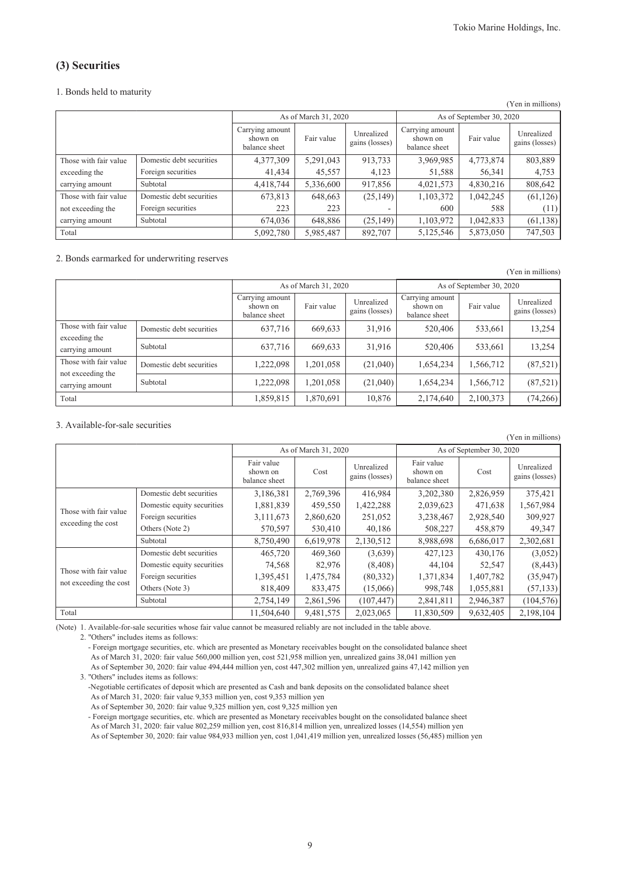(Yen in millions)

### **(3) Securities**

#### 1. Bonds held to maturity

|                       |                          |                                              |                      |                              |                                              |                          | (Yen in millions)                    |
|-----------------------|--------------------------|----------------------------------------------|----------------------|------------------------------|----------------------------------------------|--------------------------|--------------------------------------|
|                       |                          |                                              | As of March 31, 2020 |                              |                                              | As of September 30, 2020 |                                      |
|                       |                          | Carrying amount<br>shown on<br>balance sheet | Fair value           | Unrealized<br>gains (losses) | Carrying amount<br>shown on<br>balance sheet | Fair value               | Unrealized<br>gains (losses) $\vert$ |
| Those with fair value | Domestic debt securities | 4,377,309                                    | 5,291,043            | 913,733                      | 3,969,985                                    | 4,773,874                | 803,889                              |
| exceeding the         | Foreign securities       | 41,434                                       | 45,557               | 4,123                        | 51,588                                       | 56,341                   | 4,753                                |
| carrying amount       | Subtotal                 | 4,418,744                                    | 5,336,600            | 917,856                      | 4,021,573                                    | 4,830,216                | 808,642                              |
| Those with fair value | Domestic debt securities | 673,813                                      | 648,663              | (25, 149)                    | 1,103,372                                    | 1,042,245                | (61, 126)                            |
| not exceeding the     | Foreign securities       | 223                                          | 223                  |                              | 600                                          | 588                      | (11)                                 |
| carrying amount       | Subtotal                 | 674,036                                      | 648,886              | (25, 149)                    | 1,103,972                                    | 1,042,833                | (61, 138)                            |
| Total                 |                          | 5,092,780                                    | 5,985,487            | 892,707                      | 5,125,546                                    | 5,873,050                | 747,503                              |

2. Bonds earmarked for underwriting reserves

|                                        |                          |                                              | As of March 31, 2020 |                              |                                              | As of September 30, 2020 |                              |  |  |
|----------------------------------------|--------------------------|----------------------------------------------|----------------------|------------------------------|----------------------------------------------|--------------------------|------------------------------|--|--|
|                                        |                          | Carrying amount<br>shown on<br>balance sheet | Fair value           | Unrealized<br>gains (losses) | Carrying amount<br>shown on<br>balance sheet | Fair value               | Unrealized<br>gains (losses) |  |  |
| Those with fair value<br>exceeding the | Domestic debt securities | 637,716                                      | 669,633              | 31,916                       | 520,406                                      | 533,661                  | 13,254                       |  |  |
| carrying amount                        | Subtotal                 | 637,716                                      | 669,633              | 31,916                       | 520,406                                      | 533,661                  | 13,254                       |  |  |
| Those with fair value                  | Domestic debt securities | 1,222,098                                    | 1,201,058            | (21,040)                     | 1,654,234                                    | 1,566,712                | (87, 521)                    |  |  |
| not exceeding the<br>carrying amount   | Subtotal                 | 1,222,098                                    | 1,201,058            | (21,040)                     | 1,654,234                                    | 1,566,712                | (87, 521)                    |  |  |
| Total                                  |                          | 1,859,815                                    | 1,870,691            | 10,876                       | 2,174,640                                    | 2,100,373                | (74, 266)                    |  |  |

#### 3. Available-for-sale securities

|                        |                            |                                         |                      |                              |                                         |           | (Yen in millions)            |
|------------------------|----------------------------|-----------------------------------------|----------------------|------------------------------|-----------------------------------------|-----------|------------------------------|
|                        |                            |                                         | As of March 31, 2020 |                              | As of September 30, 2020                |           |                              |
|                        |                            | Fair value<br>shown on<br>balance sheet | Cost                 | Unrealized<br>gains (losses) | Fair value<br>shown on<br>balance sheet | Cost      | Unrealized<br>gains (losses) |
|                        | Domestic debt securities   | 3,186,381                               | 2,769,396            | 416,984                      | 3,202,380                               | 2,826,959 | 375,421                      |
| Those with fair value  | Domestic equity securities | 1,881,839                               | 459,550              | 1,422,288                    | 2,039,623                               | 471,638   | 1,567,984                    |
|                        | Foreign securities         | 3,111,673                               | 2,860,620            | 251,052                      | 3,238,467                               | 2,928,540 | 309,927                      |
| exceeding the cost     | Others (Note 2)            | 570,597                                 | 530,410              | 40,186                       | 508,227                                 | 458,879   | 49,347                       |
|                        | Subtotal                   | 8,750,490                               | 6,619,978            | 2,130,512                    | 8,988,698                               | 6,686,017 | 2,302,681                    |
|                        | Domestic debt securities   | 465,720                                 | 469,360              | (3,639)                      | 427,123                                 | 430,176   | (3,052)                      |
| Those with fair value  | Domestic equity securities | 74,568                                  | 82,976               | (8, 408)                     | 44,104                                  | 52,547    | (8, 443)                     |
|                        | Foreign securities         | 1,395,451                               | 1,475,784            | (80, 332)                    | 1,371,834                               | 1,407,782 | (35,947)                     |
| not exceeding the cost | Others (Note 3)            | 818,409                                 | 833,475              | (15,066)                     | 998,748                                 | 1,055,881 | (57, 133)                    |
|                        | Subtotal                   | 2,754,149                               | 2,861,596            | (107, 447)                   | 2,841,811                               | 2,946,387 | (104, 576)                   |
| Total                  |                            | 11,504,640                              | 9,481,575            | 2,023,065                    | 11,830,509                              | 9,632,405 | 2,198,104                    |

(Note) 1. Available-for-sale securities whose fair value cannot be measured reliably are not included in the table above.

2. "Others" includes items as follows:

- Foreign mortgage securities, etc. which are presented as Monetary receivables bought on the consolidated balance sheet As of March 31, 2020: fair value 560,000 million yen, cost 521,958 million yen, unrealized gains 38,041 million yen As of September 30, 2020: fair value 494,444 million yen, cost 447,302 million yen, unrealized gains 47,142 million yen 3. "Others" includes items as follows:

-Negotiable certificates of deposit which are presented as Cash and bank deposits on the consolidated balance sheet As of March 31, 2020: fair value 9,353 million yen, cost 9,353 million yen

As of September 30, 2020: fair value 9,325 million yen, cost 9,325 million yen

- Foreign mortgage securities, etc. which are presented as Monetary receivables bought on the consolidated balance sheet As of March 31, 2020: fair value 802,259 million yen, cost 816,814 million yen, unrealized losses (14,554) million yen As of September 30, 2020: fair value 984,933 million yen, cost 1,041,419 million yen, unrealized losses (56,485) million yen